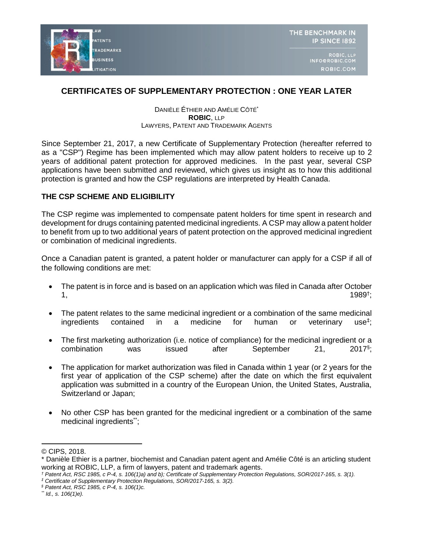

# **CERTIFICATES OF SUPPLEMENTARY PROTECTION : ONE YEAR LATER**

#### DANIÈLE ÉTHIER AND AMÉLIE CÔTÉ\* **ROBIC**, LLP LAWYERS, PATENT AND TRADEMARK AGENTS

Since September 21, 2017, a new Certificate of Supplementary Protection (hereafter referred to as a "CSP") Regime has been implemented which may allow patent holders to receive up to 2 years of additional patent protection for approved medicines. In the past year, several CSP applications have been submitted and reviewed, which gives us insight as to how this additional protection is granted and how the CSP regulations are interpreted by Health Canada.

### **THE CSP SCHEME AND ELIGIBILITY**

The CSP regime was implemented to compensate patent holders for time spent in research and development for drugs containing patented medicinal ingredients. A CSP may allow a patent holder to benefit from up to two additional years of patent protection on the approved medicinal ingredient or combination of medicinal ingredients.

Once a Canadian patent is granted, a patent holder or manufacturer can apply for a CSP if all of the following conditions are met:

- The patent is in force and is based on an application which was filed in Canada after October 1, the set of the set of the set of the set of the set of the set of the set of the set of the set of the set of the set of the set of the set of the set of the set of the set of the set of the set of the set of the set o  $1989^{\dagger}$ ;
- The patent relates to the same medicinal ingredient or a combination of the same medicinal ingredients contained in a medicine for human or veterinary  $use^{\ddagger}$ :
- The first marketing authorization (i.e. notice of compliance) for the medicinal ingredient or a combination was issued after September 21,  $2017$ <sup>§</sup>:
- The application for market authorization was filed in Canada within 1 year (or 2 years for the first year of application of the CSP scheme) after the date on which the first equivalent application was submitted in a country of the European Union, the United States, Australia, Switzerland or Japan;
- No other CSP has been granted for the medicinal ingredient or a combination of the same medicinal ingredients\*;

*‡ Certificate of Supplementary Protection Regulations, SOR/2017-165, s. 3(2).*

*\*\* Id., s. 106(1)e).*

<sup>©</sup> CIPS, 2018.

<sup>\*</sup> Danièle Ethier is a partner, biochemist and Canadian patent agent and Amélie Côté is an articling student working at ROBIC, LLP, a firm of lawyers, patent and trademark agents.

*<sup>†</sup> Patent Act, RSC 1985, c P-4, s. 106(1)a) and b); Certificate of Supplementary Protection Regulations, SOR/2017-165, s. 3(1).*

*<sup>§</sup> Patent Act, RSC 1985, c P-4, s. 106(1)c.*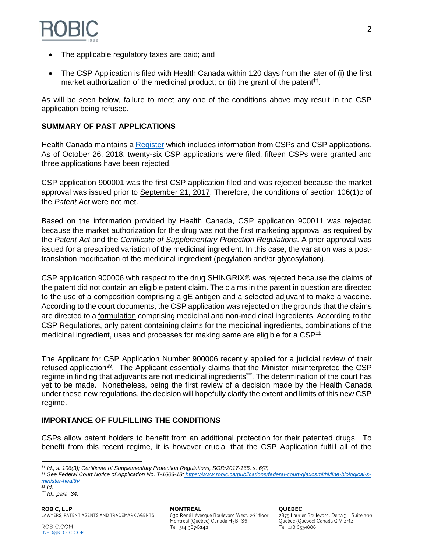

- The applicable regulatory taxes are paid; and
- The CSP Application is filed with Health Canada within 120 days from the later of (i) the first market authorization of the medicinal product; or (ii) the grant of the patent<sup>††</sup>.

As will be seen below, failure to meet any one of the conditions above may result in the CSP application being refused.

### **SUMMARY OF PAST APPLICATIONS**

Health Canada maintains a [Register](https://www.canada.ca/en/health-canada/services/drugs-health-products/drug-products/applications-submissions/guidance-documents/register-certificates.html#a1) which includes information from CSPs and CSP applications. As of October 26, 2018, twenty-six CSP applications were filed, fifteen CSPs were granted and three applications have been rejected.

CSP application 900001 was the first CSP application filed and was rejected because the market approval was issued prior to September 21, 2017. Therefore, the conditions of section 106(1)c of the *Patent Act* were not met.

Based on the information provided by Health Canada, CSP application 900011 was rejected because the market authorization for the drug was not the first marketing approval as required by the *Patent Act* and the *Certificate of Supplementary Protection Regulations*. A prior approval was issued for a prescribed variation of the medicinal ingredient. In this case, the variation was a posttranslation modification of the medicinal ingredient (pegylation and/or glycosylation).

CSP application 900006 with respect to the drug SHINGRIX® was rejected because the claims of the patent did not contain an eligible patent claim. The claims in the patent in question are directed to the use of a composition comprising a gE antigen and a selected adjuvant to make a vaccine. According to the court documents, the CSP application was rejected on the grounds that the claims are directed to a formulation comprising medicinal and non-medicinal ingredients. According to the CSP Regulations, only patent containing claims for the medicinal ingredients, combinations of the medicinal ingredient, uses and processes for making same are eligible for a CSP<sup>‡‡</sup>.

The Applicant for CSP Application Number 900006 recently applied for a judicial review of their refused application§§. The Applicant essentially claims that the Minister misinterpreted the CSP regime in finding that adjuvants are not medicinal ingredients\*\*\*. The determination of the court has yet to be made. Nonetheless, being the first review of a decision made by the Health Canada under these new regulations, the decision will hopefully clarify the extent and limits of this new CSP regime.

## **IMPORTANCE OF FULFILLING THE CONDITIONS**

CSPs allow patent holders to benefit from an additional protection for their patented drugs. To benefit from this recent regime, it is however crucial that the CSP Application fulfill all of the

*‡‡ See Federal Court Notice of Application No. T-1603-18: https://www.robic.ca/publications/federal-court-glaxosmithkline-biological-sminister-health/*

*§§ Id.*

**ROBIC, LLP** LAWYERS, PATENT AGENTS AND TRADEMARK AGENTS

**MONTREAL** 630 René-Lévesque Boulevard West, 20<sup>th</sup> floor Montreal (Québec) Canada H3B IS6 Tel: 514 987-6242

**OUEBEC** 

2875 Laurier Boulevard, Delta-3 - Suite 700 Quebec (Québec) Canada GIV 2M2 Tel: 418 653-1888

 *†† Id., s. 106(3); Certificate of Supplementary Protection Regulations, SOR/2017-165, s. 6(2).*

*<sup>\*\*\*</sup> Id., para. 34.*